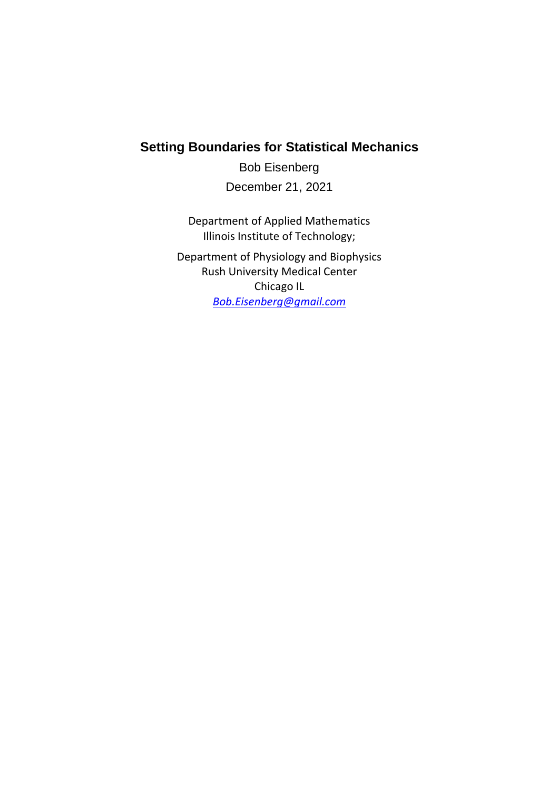## **Setting Boundaries for Statistical Mechanics**

Bob Eisenberg December 21, 2021

Department of Applied Mathematics Illinois Institute of Technology;

Department of Physiology and Biophysics Rush University Medical Center Chicago IL *[Bob.Eisenberg@gmail.com](mailto:Bob.Eisenberg@gmail.com)*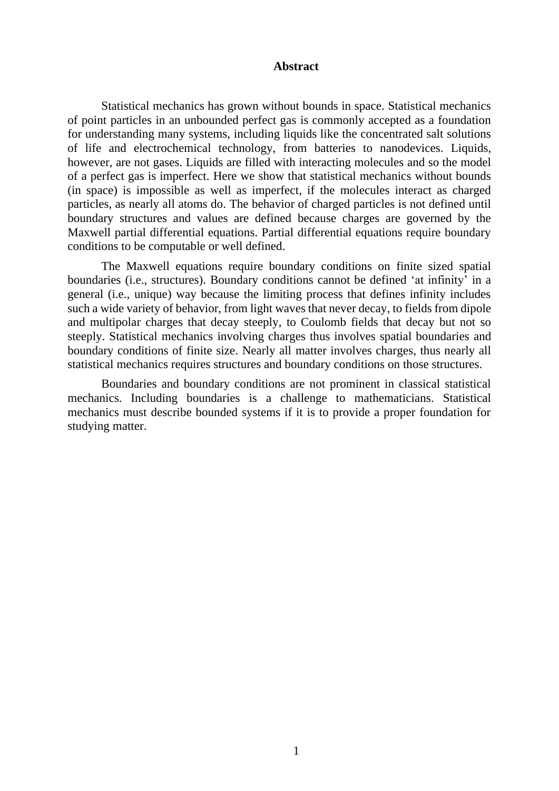#### **Abstract**

Statistical mechanics has grown without bounds in space. Statistical mechanics of point particles in an unbounded perfect gas is commonly accepted as a foundation for understanding many systems, including liquids like the concentrated salt solutions of life and electrochemical technology, from batteries to nanodevices. Liquids, however, are not gases. Liquids are filled with interacting molecules and so the model of a perfect gas is imperfect. Here we show that statistical mechanics without bounds (in space) is impossible as well as imperfect, if the molecules interact as charged particles, as nearly all atoms do. The behavior of charged particles is not defined until boundary structures and values are defined because charges are governed by the Maxwell partial differential equations. Partial differential equations require boundary conditions to be computable or well defined.

The Maxwell equations require boundary conditions on finite sized spatial boundaries (i.e., structures). Boundary conditions cannot be defined 'at infinity' in a general (i.e., unique) way because the limiting process that defines infinity includes such a wide variety of behavior, from light waves that never decay, to fields from dipole and multipolar charges that decay steeply, to Coulomb fields that decay but not so steeply. Statistical mechanics involving charges thus involves spatial boundaries and boundary conditions of finite size. Nearly all matter involves charges, thus nearly all statistical mechanics requires structures and boundary conditions on those structures.

Boundaries and boundary conditions are not prominent in classical statistical mechanics. Including boundaries is a challenge to mathematicians. Statistical mechanics must describe bounded systems if it is to provide a proper foundation for studying matter.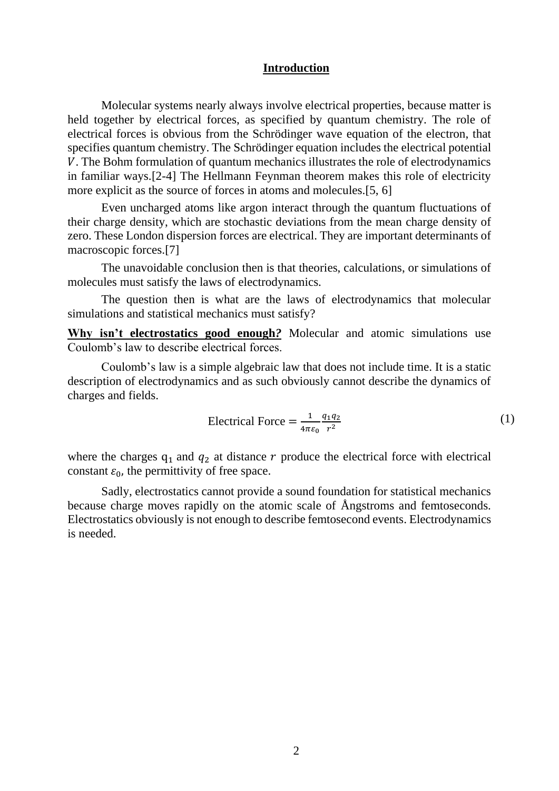#### **Introduction**

Molecular systems nearly always involve electrical properties, because matter is held together by electrical forces, as specified by quantum chemistry. The role of electrical forces is obvious from the Schrödinger wave equation of the electron, that specifies quantum chemistry. The Schrödinger equation includes the electrical potential . The Bohm formulation of quantum mechanics illustrates the role of electrodynamics in familiar ways.[2-4] The Hellmann Feynman theorem makes this role of electricity more explicit as the source of forces in atoms and molecules.[5, 6]

Even uncharged atoms like argon interact through the quantum fluctuations of their charge density, which are stochastic deviations from the mean charge density of zero. These London dispersion forces are electrical. They are important determinants of macroscopic forces.[7]

The unavoidable conclusion then is that theories, calculations, or simulations of molecules must satisfy the laws of electrodynamics.

The question then is what are the laws of electrodynamics that molecular simulations and statistical mechanics must satisfy?

**Why isn't electrostatics good enough***?* Molecular and atomic simulations use Coulomb's law to describe electrical forces.

Coulomb's law is a simple algebraic law that does not include time. It is a static description of electrodynamics and as such obviously cannot describe the dynamics of charges and fields.

Electrical Force 
$$
=
$$
  $\frac{1}{4\pi\varepsilon_0} \frac{q_1 q_2}{r^2}$  (1)

where the charges  $q_1$  and  $q_2$  at distance r produce the electrical force with electrical constant  $\varepsilon_0$ , the permittivity of free space.

Sadly, electrostatics cannot provide a sound foundation for statistical mechanics because charge moves rapidly on the atomic scale of Ångstroms and femtoseconds. Electrostatics obviously is not enough to describe femtosecond events. Electrodynamics is needed.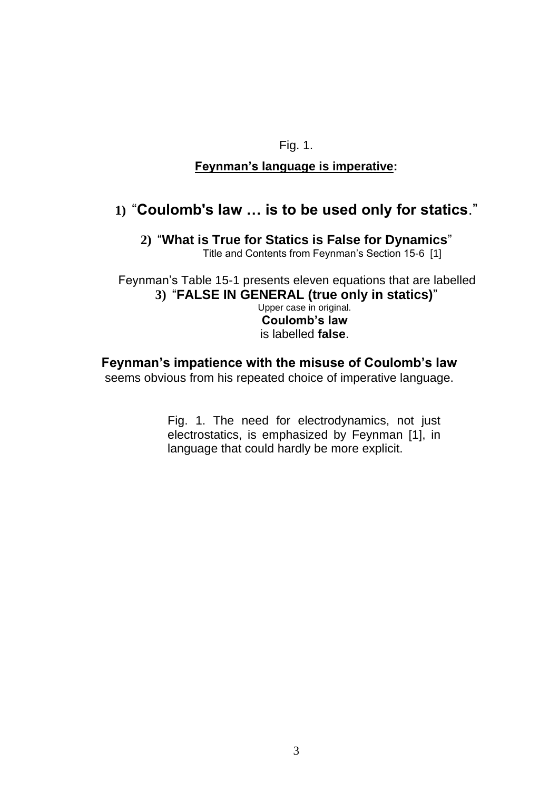## Fig. 1.

## **Feynman's language is imperative:**

# **1)** "**Coulomb's law … is to be used only for statics**."

**2)** "**What is True for Statics is False for Dynamics**" Title and Contents from Feynman's Section 15-6 [1]

Feynman's Table 15-1 presents eleven equations that are labelled **3)** "**FALSE IN GENERAL (true only in statics)**" Upper case in original. **Coulomb's law** is labelled **false**.

## **Feynman's impatience with the misuse of Coulomb's law**

seems obvious from his repeated choice of imperative language.

Fig. 1. The need for electrodynamics, not just electrostatics, is emphasized by Feynman [1], in language that could hardly be more explicit.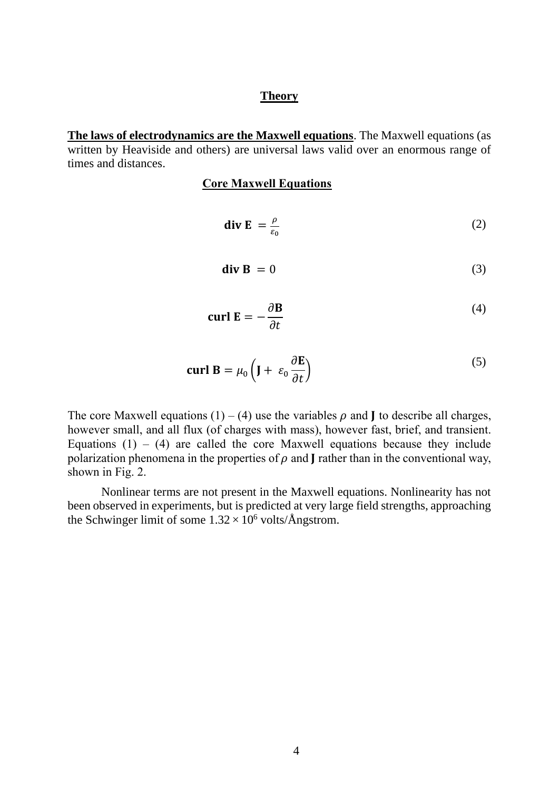#### **Theory**

**The laws of electrodynamics are the Maxwell equations**. The Maxwell equations (as written by Heaviside and others) are universal laws valid over an enormous range of times and distances.

#### **Core Maxwell Equations**

$$
\operatorname{div} \mathbf{E} = \frac{\rho}{\varepsilon_0} \tag{2}
$$

$$
\mathbf{div}\,\mathbf{B}\,=\,0\tag{3}
$$

$$
\operatorname{curl} \mathbf{E} = -\frac{\partial \mathbf{B}}{\partial t} \tag{4}
$$

$$
\operatorname{curl} \mathbf{B} = \mu_0 \left( \mathbf{J} + \varepsilon_0 \frac{\partial \mathbf{E}}{\partial t} \right) \tag{5}
$$

The core Maxwell equations (1) – (4) use the variables  $\rho$  and **J** to describe all charges, however small, and all flux (of charges with mass), however fast, brief, and transient. Equations  $(1) - (4)$  are called the core Maxwell equations because they include polarization phenomena in the properties of  $\rho$  and  $\mathbf I$  rather than in the conventional way, shown in Fig. 2.

Nonlinear terms are not present in the Maxwell equations. Nonlinearity has not been observed in experiments, but is predicted at very large field strengths, approaching the Schwinger limit of some  $1.32 \times 10^6$  volts/Ångstrom.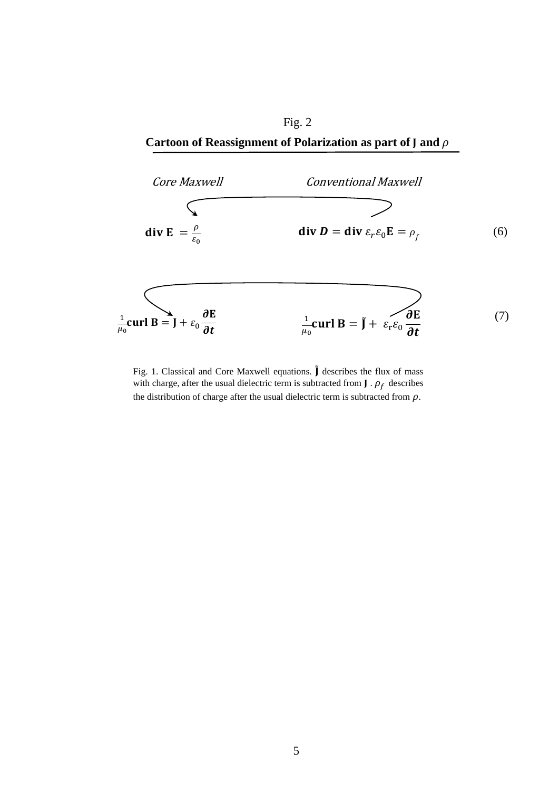Fig. 2 Cartoon of Reassignment of Polarization as part of  $J$  and  $\rho$ 



Fig. 1. Classical and Core Maxwell equations.  $\tilde{J}$  describes the flux of mass with charge, after the usual dielectric term is subtracted from  $J \cdot \rho_f$  describes the distribution of charge after the usual dielectric term is subtracted from  $\rho$ .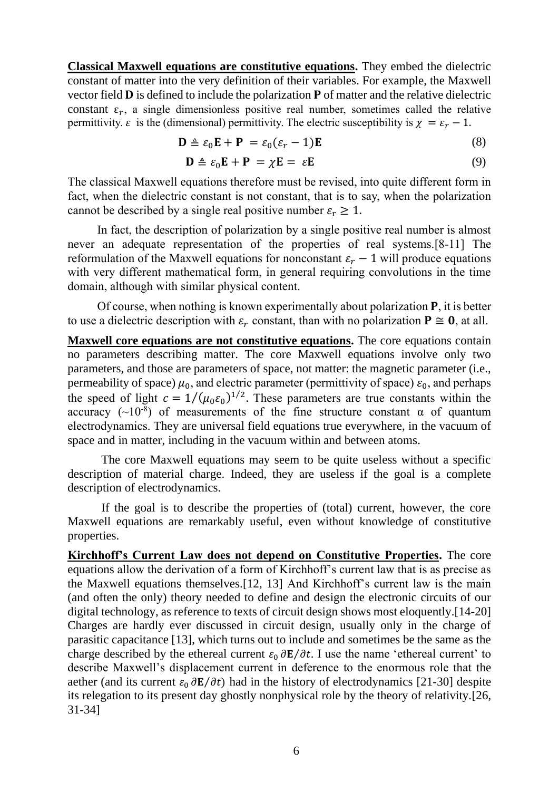**Classical Maxwell equations are constitutive equations.** They embed the dielectric constant of matter into the very definition of their variables. For example, the Maxwell vector field  $\bf{D}$  is defined to include the polarization  $\bf{P}$  of matter and the relative dielectric constant  $\varepsilon_r$ , a single dimensionless positive real number, sometimes called the relative permittivity.  $\varepsilon$  is the (dimensional) permittivity. The electric susceptibility is  $\chi = \varepsilon_r - 1$ .

$$
\mathbf{D} \triangleq \varepsilon_0 \mathbf{E} + \mathbf{P} = \varepsilon_0 (\varepsilon_r - 1) \mathbf{E}
$$
 (8)

$$
\mathbf{D} \triangleq \varepsilon_0 \mathbf{E} + \mathbf{P} = \chi \mathbf{E} = \varepsilon \mathbf{E}
$$
 (9)

The classical Maxwell equations therefore must be revised, into quite different form in fact, when the dielectric constant is not constant, that is to say, when the polarization cannot be described by a single real positive number  $\varepsilon_r \geq 1$ .

In fact, the description of polarization by a single positive real number is almost never an adequate representation of the properties of real systems.[8-11] The reformulation of the Maxwell equations for nonconstant  $\varepsilon_r - 1$  will produce equations with very different mathematical form, in general requiring convolutions in the time domain, although with similar physical content.

Of course, when nothing is known experimentally about polarization  $P$ , it is better to use a dielectric description with  $\varepsilon_r$  constant, than with no polarization  $P \cong 0$ , at all.

**Maxwell core equations are not constitutive equations.** The core equations contain no parameters describing matter. The core Maxwell equations involve only two parameters, and those are parameters of space, not matter: the magnetic parameter (i.e., permeability of space)  $\mu_0$ , and electric parameter (permittivity of space)  $\varepsilon_0$ , and perhaps the speed of light  $c = 1/(\mu_0 \varepsilon_0)^{1/2}$ . These parameters are true constants within the accuracy  $(\sim 10^{-8})$  of measurements of the fine structure constant  $\alpha$  of quantum electrodynamics. They are universal field equations true everywhere, in the vacuum of space and in matter, including in the vacuum within and between atoms.

The core Maxwell equations may seem to be quite useless without a specific description of material charge. Indeed, they are useless if the goal is a complete description of electrodynamics.

If the goal is to describe the properties of (total) current, however, the core Maxwell equations are remarkably useful, even without knowledge of constitutive properties.

**Kirchhoff's Current Law does not depend on Constitutive Properties.** The core equations allow the derivation of a form of Kirchhoff's current law that is as precise as the Maxwell equations themselves.[12, 13] And Kirchhoff's current law is the main (and often the only) theory needed to define and design the electronic circuits of our digital technology, as reference to texts of circuit design shows most eloquently.[14-20] Charges are hardly ever discussed in circuit design, usually only in the charge of parasitic capacitance [13], which turns out to include and sometimes be the same as the charge described by the ethereal current  $\varepsilon_0 \frac{\partial \mathbf{E}}{\partial t}$ . I use the name 'ethereal current' to describe Maxwell's displacement current in deference to the enormous role that the aether (and its current  $\varepsilon_0 \frac{\partial \mathbf{E}}{\partial t}$ ) had in the history of electrodynamics [21-30] despite its relegation to its present day ghostly nonphysical role by the theory of relativity.[26, 31-34]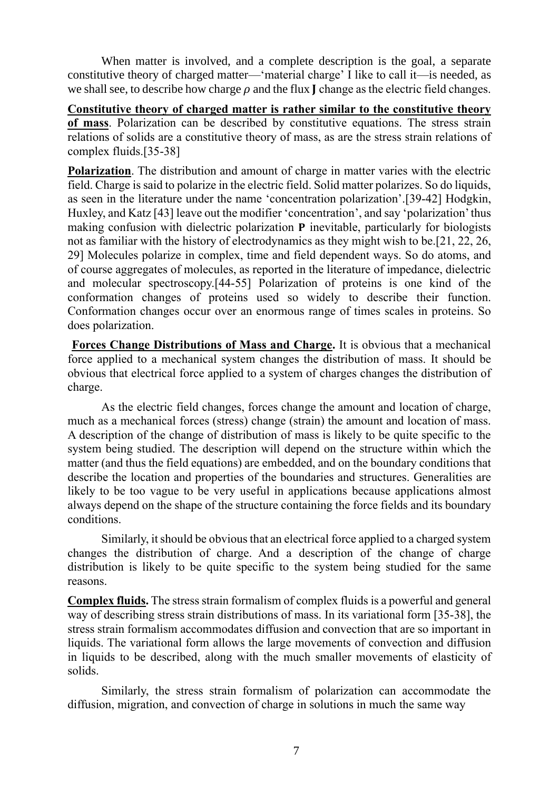When matter is involved, and a complete description is the goal, a separate constitutive theory of charged matter—'material charge' I like to call it—is needed, as we shall see, to describe how charge  $\rho$  and the flux  $\mathbf I$  change as the electric field changes.

**Constitutive theory of charged matter is rather similar to the constitutive theory of mass**. Polarization can be described by constitutive equations. The stress strain relations of solids are a constitutive theory of mass, as are the stress strain relations of complex fluids.[35-38]

**Polarization**. The distribution and amount of charge in matter varies with the electric field. Charge is said to polarize in the electric field. Solid matter polarizes. So do liquids, as seen in the literature under the name 'concentration polarization'.[39-42] Hodgkin, Huxley, and Katz [43] leave out the modifier 'concentration', and say 'polarization' thus making confusion with dielectric polarization  $P$  inevitable, particularly for biologists not as familiar with the history of electrodynamics as they might wish to be.[21, 22, 26, 29] Molecules polarize in complex, time and field dependent ways. So do atoms, and of course aggregates of molecules, as reported in the literature of impedance, dielectric and molecular spectroscopy.[44-55] Polarization of proteins is one kind of the conformation changes of proteins used so widely to describe their function. Conformation changes occur over an enormous range of times scales in proteins. So does polarization.

**Forces Change Distributions of Mass and Charge.** It is obvious that a mechanical force applied to a mechanical system changes the distribution of mass. It should be obvious that electrical force applied to a system of charges changes the distribution of charge.

As the electric field changes, forces change the amount and location of charge, much as a mechanical forces (stress) change (strain) the amount and location of mass. A description of the change of distribution of mass is likely to be quite specific to the system being studied. The description will depend on the structure within which the matter (and thus the field equations) are embedded, and on the boundary conditions that describe the location and properties of the boundaries and structures. Generalities are likely to be too vague to be very useful in applications because applications almost always depend on the shape of the structure containing the force fields and its boundary conditions.

Similarly, it should be obvious that an electrical force applied to a charged system changes the distribution of charge. And a description of the change of charge distribution is likely to be quite specific to the system being studied for the same reasons.

**Complex fluids.** The stress strain formalism of complex fluids is a powerful and general way of describing stress strain distributions of mass. In its variational form [35-38], the stress strain formalism accommodates diffusion and convection that are so important in liquids. The variational form allows the large movements of convection and diffusion in liquids to be described, along with the much smaller movements of elasticity of solids.

Similarly, the stress strain formalism of polarization can accommodate the diffusion, migration, and convection of charge in solutions in much the same way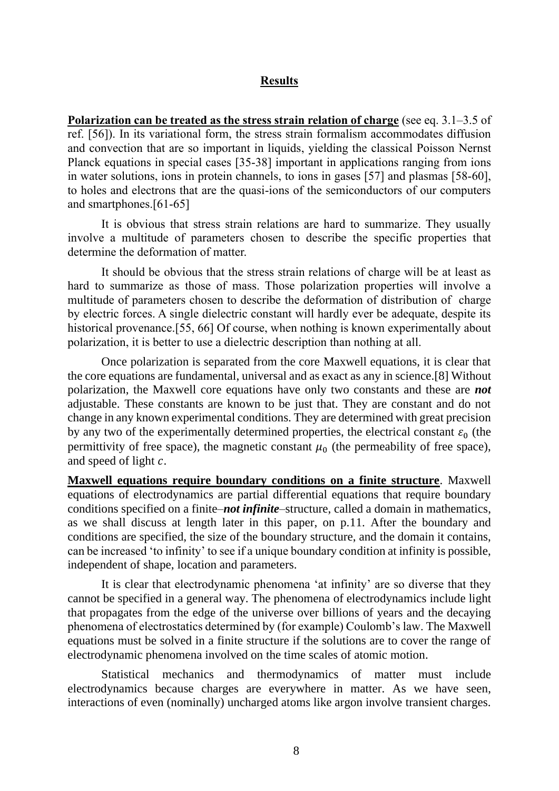#### **Results**

**Polarization can be treated as the stress strain relation of charge** (see eq. 3.1–3.5 of ref. [56]). In its variational form, the stress strain formalism accommodates diffusion and convection that are so important in liquids, yielding the classical Poisson Nernst Planck equations in special cases [35-38] important in applications ranging from ions in water solutions, ions in protein channels, to ions in gases [57] and plasmas [58-60], to holes and electrons that are the quasi-ions of the semiconductors of our computers and smartphones.[61-65]

It is obvious that stress strain relations are hard to summarize. They usually involve a multitude of parameters chosen to describe the specific properties that determine the deformation of matter.

It should be obvious that the stress strain relations of charge will be at least as hard to summarize as those of mass. Those polarization properties will involve a multitude of parameters chosen to describe the deformation of distribution of charge by electric forces. A single dielectric constant will hardly ever be adequate, despite its historical provenance.<sup>[55, 66]</sup> Of course, when nothing is known experimentally about polarization, it is better to use a dielectric description than nothing at all.

Once polarization is separated from the core Maxwell equations, it is clear that the core equations are fundamental, universal and as exact as any in science.[8] Without polarization, the Maxwell core equations have only two constants and these are *not* adjustable. These constants are known to be just that. They are constant and do not change in any known experimental conditions. They are determined with great precision by any two of the experimentally determined properties, the electrical constant  $\varepsilon_0$  (the permittivity of free space), the magnetic constant  $\mu_0$  (the permeability of free space), and speed of light  $c$ .

**Maxwell equations require boundary conditions on a finite structure**. Maxwell equations of electrodynamics are partial differential equations that require boundary conditions specified on a finite–*not infinite*–structure, called a domain in mathematics, as we shall discuss at length later in this paper, on p[.11.](#page-11-0) After the boundary and conditions are specified, the size of the boundary structure, and the domain it contains, can be increased 'to infinity' to see if a unique boundary condition at infinity is possible, independent of shape, location and parameters.

It is clear that electrodynamic phenomena 'at infinity' are so diverse that they cannot be specified in a general way. The phenomena of electrodynamics include light that propagates from the edge of the universe over billions of years and the decaying phenomena of electrostatics determined by (for example) Coulomb's law. The Maxwell equations must be solved in a finite structure if the solutions are to cover the range of electrodynamic phenomena involved on the time scales of atomic motion.

Statistical mechanics and thermodynamics of matter must include electrodynamics because charges are everywhere in matter. As we have seen, interactions of even (nominally) uncharged atoms like argon involve transient charges.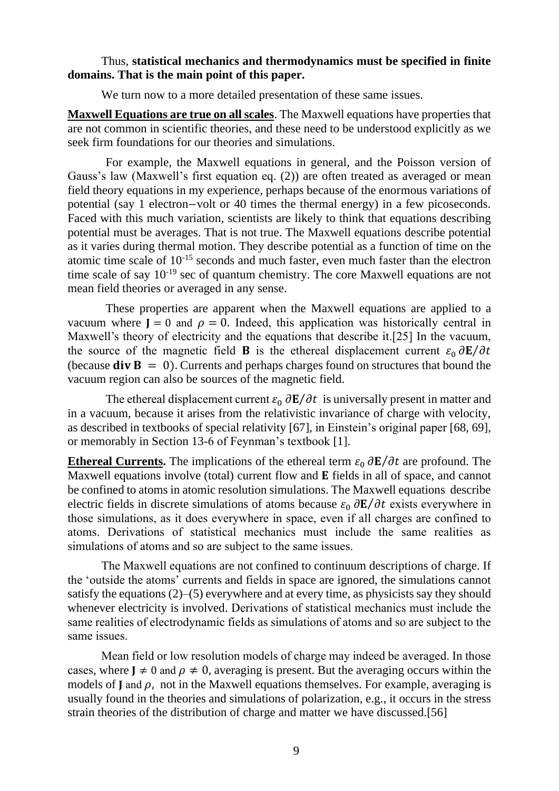#### Thus, **statistical mechanics and thermodynamics must be specified in finite domains. That is the main point of this paper.**

We turn now to a more detailed presentation of these same issues.

**Maxwell Equations are true on all scales**. The Maxwell equations have properties that are not common in scientific theories, and these need to be understood explicitly as we seek firm foundations for our theories and simulations.

For example, the Maxwell equations in general, and the Poisson version of Gauss's law (Maxwell's first equation eq. (2)) are often treated as averaged or mean field theory equations in my experience, perhaps because of the enormous variations of potential (say 1 electron−volt or 40 times the thermal energy) in a few picoseconds. Faced with this much variation, scientists are likely to think that equations describing potential must be averages. That is not true. The Maxwell equations describe potential as it varies during thermal motion. They describe potential as a function of time on the atomic time scale of 10-15 seconds and much faster, even much faster than the electron time scale of say 10-19 sec of quantum chemistry. The core Maxwell equations are not mean field theories or averaged in any sense.

These properties are apparent when the Maxwell equations are applied to a vacuum where  $J = 0$  and  $\rho = 0$ . Indeed, this application was historically central in Maxwell's theory of electricity and the equations that describe it.[25] In the vacuum, the source of the magnetic field **B** is the ethereal displacement current  $\varepsilon_0 \frac{\partial \mathbf{E}}{\partial t}$ (because  $div B = 0$ ). Currents and perhaps charges found on structures that bound the vacuum region can also be sources of the magnetic field.

The ethereal displacement current  $\varepsilon_0 \frac{\partial \mathbf{E}}{\partial t}$  is universally present in matter and in a vacuum, because it arises from the relativistic invariance of charge with velocity, as described in textbooks of special relativity [67], in Einstein's original paper [68, 69], or memorably in Section 13-6 of Feynman's textbook [1].

**Ethereal Currents.** The implications of the ethereal term  $\varepsilon_0 \frac{\partial \mathbf{E}}{\partial t}$  are profound. The Maxwell equations involve (total) current flow and  $E$  fields in all of space, and cannot be confined to atoms in atomic resolution simulations. The Maxwell equations describe electric fields in discrete simulations of atoms because  $\varepsilon_0 \frac{\partial \mathbf{E}}{\partial t}$  exists everywhere in those simulations, as it does everywhere in space, even if all charges are confined to atoms. Derivations of statistical mechanics must include the same realities as simulations of atoms and so are subject to the same issues.

The Maxwell equations are not confined to continuum descriptions of charge. If the 'outside the atoms' currents and fields in space are ignored, the simulations cannot satisfy the equations (2)–(5) everywhere and at every time, as physicists say they should whenever electricity is involved. Derivations of statistical mechanics must include the same realities of electrodynamic fields as simulations of atoms and so are subject to the same issues.

Mean field or low resolution models of charge may indeed be averaged. In those cases, where  $J \neq 0$  and  $\rho \neq 0$ , averaging is present. But the averaging occurs within the models of  $\bf{I}$  and  $\bf{0}$ , not in the Maxwell equations themselves. For example, averaging is usually found in the theories and simulations of polarization, e.g., it occurs in the stress strain theories of the distribution of charge and matter we have discussed.[56]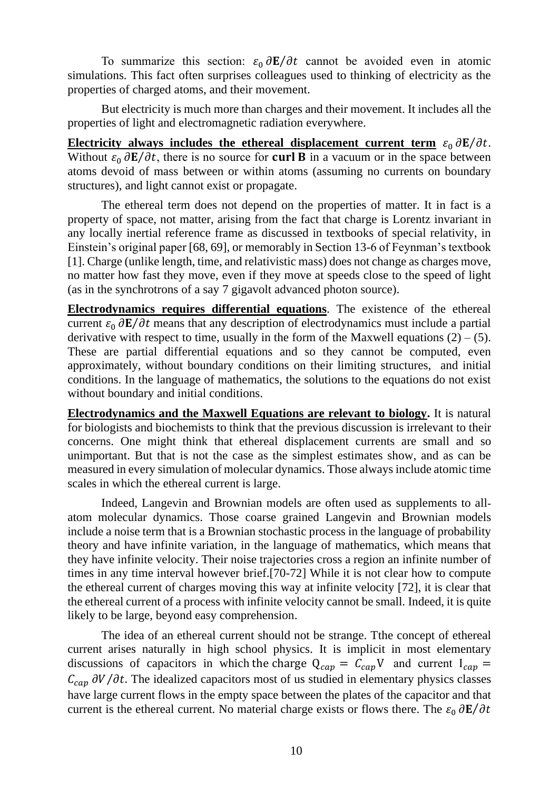To summarize this section:  $\varepsilon_0 \frac{\partial \mathbf{E}}{\partial t}$  cannot be avoided even in atomic simulations. This fact often surprises colleagues used to thinking of electricity as the properties of charged atoms, and their movement.

But electricity is much more than charges and their movement. It includes all the properties of light and electromagnetic radiation everywhere.

**Electricity** always includes the ethereal displacement current term  $\varepsilon_0 \frac{\partial \mathbf{E}}{\partial t}$ . Without  $\varepsilon_0 \frac{\partial \mathbf{E}}{\partial t}$ , there is no source for **curl B** in a vacuum or in the space between atoms devoid of mass between or within atoms (assuming no currents on boundary structures), and light cannot exist or propagate.

The ethereal term does not depend on the properties of matter. It in fact is a property of space, not matter, arising from the fact that charge is Lorentz invariant in any locally inertial reference frame as discussed in textbooks of special relativity, in Einstein's original paper [68, 69], or memorably in Section 13-6 of Feynman's textbook [1]. Charge (unlike length, time, and relativistic mass) does not change as charges move, no matter how fast they move, even if they move at speeds close to the speed of light (as in the synchrotrons of a say 7 gigavolt advanced photon source).

**Electrodynamics requires differential equations**. The existence of the ethereal current  $\epsilon_0 \frac{\partial \mathbf{E}}{\partial t}$  means that any description of electrodynamics must include a partial derivative with respect to time, usually in the form of the Maxwell equations  $(2) - (5)$ . These are partial differential equations and so they cannot be computed, even approximately, without boundary conditions on their limiting structures, and initial conditions. In the language of mathematics, the solutions to the equations do not exist without boundary and initial conditions.

**Electrodynamics and the Maxwell Equations are relevant to biology.** It is natural for biologists and biochemists to think that the previous discussion is irrelevant to their concerns. One might think that ethereal displacement currents are small and so unimportant. But that is not the case as the simplest estimates show, and as can be measured in every simulation of molecular dynamics. Those always include atomic time scales in which the ethereal current is large.

Indeed, Langevin and Brownian models are often used as supplements to allatom molecular dynamics. Those coarse grained Langevin and Brownian models include a noise term that is a Brownian stochastic process in the language of probability theory and have infinite variation, in the language of mathematics, which means that they have infinite velocity. Their noise trajectories cross a region an infinite number of times in any time interval however brief.[70-72] While it is not clear how to compute the ethereal current of charges moving this way at infinite velocity [72], it is clear that the ethereal current of a process with infinite velocity cannot be small. Indeed, it is quite likely to be large, beyond easy comprehension.

The idea of an ethereal current should not be strange. Tthe concept of ethereal current arises naturally in high school physics. It is implicit in most elementary discussions of capacitors in which the charge  $Q_{cap} = C_{cap}V$  and current  $I_{cap} =$  $C_{cap}$   $\partial V/\partial t$ . The idealized capacitors most of us studied in elementary physics classes have large current flows in the empty space between the plates of the capacitor and that current is the ethereal current. No material charge exists or flows there. The  $\varepsilon_0 \frac{\partial \mathbf{E}}{\partial t}$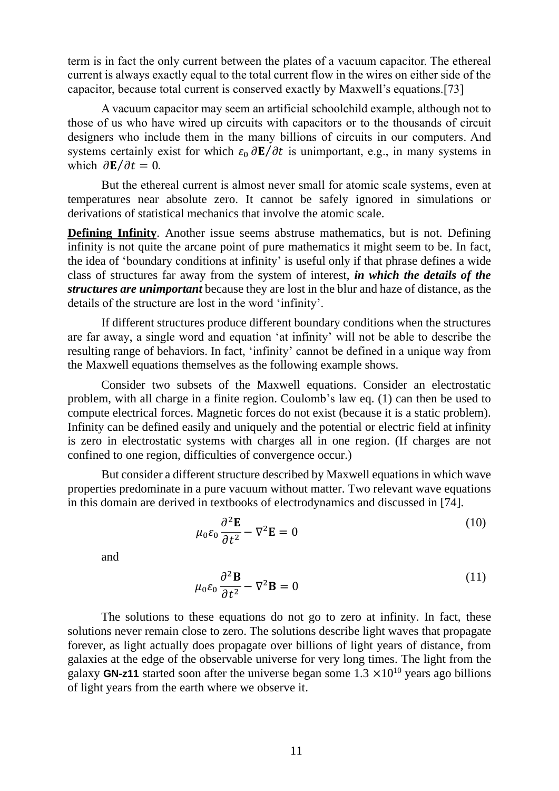term is in fact the only current between the plates of a vacuum capacitor. The ethereal current is always exactly equal to the total current flow in the wires on either side of the capacitor, because total current is conserved exactly by Maxwell's equations.[73]

A vacuum capacitor may seem an artificial schoolchild example, although not to those of us who have wired up circuits with capacitors or to the thousands of circuit designers who include them in the many billions of circuits in our computers. And systems certainly exist for which  $\varepsilon_0 \frac{\partial \mathbf{E}}{\partial t}$  is unimportant, e.g., in many systems in which  $\partial \mathbf{E}/\partial t = 0$ .

But the ethereal current is almost never small for atomic scale systems, even at temperatures near absolute zero. It cannot be safely ignored in simulations or derivations of statistical mechanics that involve the atomic scale.

<span id="page-11-0"></span>**Defining Infinity**. Another issue seems abstruse mathematics, but is not. Defining infinity is not quite the arcane point of pure mathematics it might seem to be. In fact, the idea of 'boundary conditions at infinity' is useful only if that phrase defines a wide class of structures far away from the system of interest, *in which the details of the structures are unimportant* because they are lost in the blur and haze of distance, as the details of the structure are lost in the word 'infinity'.

If different structures produce different boundary conditions when the structures are far away, a single word and equation 'at infinity' will not be able to describe the resulting range of behaviors. In fact, 'infinity' cannot be defined in a unique way from the Maxwell equations themselves as the following example shows.

Consider two subsets of the Maxwell equations. Consider an electrostatic problem, with all charge in a finite region. Coulomb's law eq. (1) can then be used to compute electrical forces. Magnetic forces do not exist (because it is a static problem). Infinity can be defined easily and uniquely and the potential or electric field at infinity is zero in electrostatic systems with charges all in one region. (If charges are not confined to one region, difficulties of convergence occur.)

But consider a different structure described by Maxwell equations in which wave properties predominate in a pure vacuum without matter. Two relevant wave equations in this domain are derived in textbooks of electrodynamics and discussed in [74].

$$
\mu_0 \varepsilon_0 \frac{\partial^2 \mathbf{E}}{\partial t^2} - \nabla^2 \mathbf{E} = 0
$$
\n(10)

and

$$
\mu_0 \varepsilon_0 \frac{\partial^2 \mathbf{B}}{\partial t^2} - \nabla^2 \mathbf{B} = 0
$$
\n(11)

The solutions to these equations do not go to zero at infinity. In fact, these solutions never remain close to zero. The solutions describe light waves that propagate forever, as light actually does propagate over billions of light years of distance, from galaxies at the edge of the observable universe for very long times. The light from the galaxy **GN-z11** started soon after the universe began some  $1.3 \times 10^{10}$  years ago billions of light years from the earth where we observe it.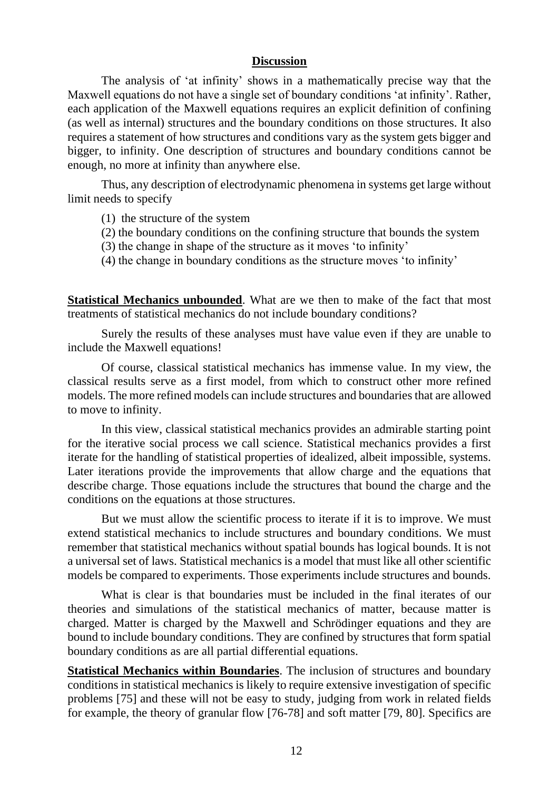#### **Discussion**

The analysis of 'at infinity' shows in a mathematically precise way that the Maxwell equations do not have a single set of boundary conditions 'at infinity'. Rather, each application of the Maxwell equations requires an explicit definition of confining (as well as internal) structures and the boundary conditions on those structures. It also requires a statement of how structures and conditions vary as the system gets bigger and bigger, to infinity. One description of structures and boundary conditions cannot be enough, no more at infinity than anywhere else.

Thus, any description of electrodynamic phenomena in systems get large without limit needs to specify

(1) the structure of the system

- (2) the boundary conditions on the confining structure that bounds the system
- (3) the change in shape of the structure as it moves 'to infinity'
- (4) the change in boundary conditions as the structure moves 'to infinity'

**Statistical Mechanics unbounded**. What are we then to make of the fact that most treatments of statistical mechanics do not include boundary conditions?

Surely the results of these analyses must have value even if they are unable to include the Maxwell equations!

Of course, classical statistical mechanics has immense value. In my view, the classical results serve as a first model, from which to construct other more refined models. The more refined models can include structures and boundaries that are allowed to move to infinity.

In this view, classical statistical mechanics provides an admirable starting point for the iterative social process we call science. Statistical mechanics provides a first iterate for the handling of statistical properties of idealized, albeit impossible, systems. Later iterations provide the improvements that allow charge and the equations that describe charge. Those equations include the structures that bound the charge and the conditions on the equations at those structures.

But we must allow the scientific process to iterate if it is to improve. We must extend statistical mechanics to include structures and boundary conditions. We must remember that statistical mechanics without spatial bounds has logical bounds. It is not a universal set of laws. Statistical mechanics is a model that must like all other scientific models be compared to experiments. Those experiments include structures and bounds.

What is clear is that boundaries must be included in the final iterates of our theories and simulations of the statistical mechanics of matter, because matter is charged. Matter is charged by the Maxwell and Schrödinger equations and they are bound to include boundary conditions. They are confined by structures that form spatial boundary conditions as are all partial differential equations.

**Statistical Mechanics within Boundaries**. The inclusion of structures and boundary conditions in statistical mechanics is likely to require extensive investigation of specific problems [75] and these will not be easy to study, judging from work in related fields for example, the theory of granular flow [76-78] and soft matter [79, 80]. Specifics are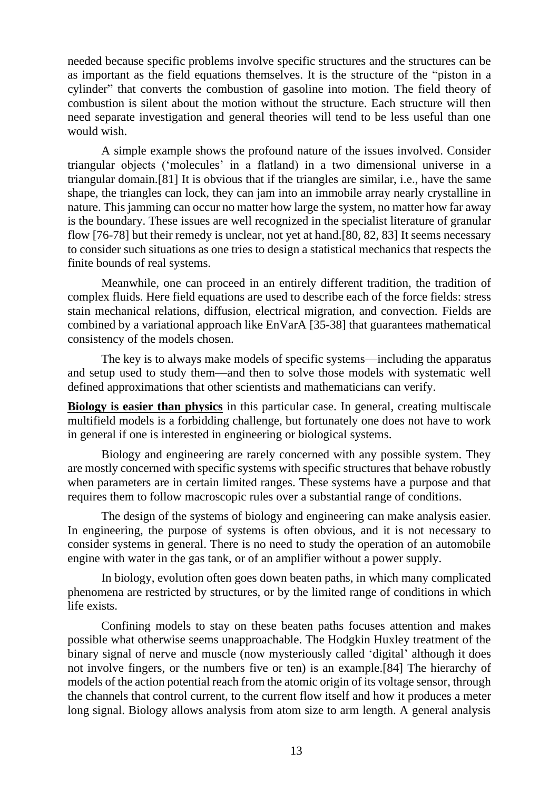needed because specific problems involve specific structures and the structures can be as important as the field equations themselves. It is the structure of the "piston in a cylinder" that converts the combustion of gasoline into motion. The field theory of combustion is silent about the motion without the structure. Each structure will then need separate investigation and general theories will tend to be less useful than one would wish.

A simple example shows the profound nature of the issues involved. Consider triangular objects ('molecules' in a flatland) in a two dimensional universe in a triangular domain.[81] It is obvious that if the triangles are similar, i.e., have the same shape, the triangles can lock, they can jam into an immobile array nearly crystalline in nature. This jamming can occur no matter how large the system, no matter how far away is the boundary. These issues are well recognized in the specialist literature of granular flow [76-78] but their remedy is unclear, not yet at hand.[80, 82, 83] It seems necessary to consider such situations as one tries to design a statistical mechanics that respects the finite bounds of real systems.

Meanwhile, one can proceed in an entirely different tradition, the tradition of complex fluids. Here field equations are used to describe each of the force fields: stress stain mechanical relations, diffusion, electrical migration, and convection. Fields are combined by a variational approach like EnVarA [35-38] that guarantees mathematical consistency of the models chosen.

The key is to always make models of specific systems—including the apparatus and setup used to study them—and then to solve those models with systematic well defined approximations that other scientists and mathematicians can verify.

**Biology is easier than physics** in this particular case. In general, creating multiscale multifield models is a forbidding challenge, but fortunately one does not have to work in general if one is interested in engineering or biological systems.

Biology and engineering are rarely concerned with any possible system. They are mostly concerned with specific systems with specific structures that behave robustly when parameters are in certain limited ranges. These systems have a purpose and that requires them to follow macroscopic rules over a substantial range of conditions.

The design of the systems of biology and engineering can make analysis easier. In engineering, the purpose of systems is often obvious, and it is not necessary to consider systems in general. There is no need to study the operation of an automobile engine with water in the gas tank, or of an amplifier without a power supply.

In biology, evolution often goes down beaten paths, in which many complicated phenomena are restricted by structures, or by the limited range of conditions in which life exists.

Confining models to stay on these beaten paths focuses attention and makes possible what otherwise seems unapproachable. The Hodgkin Huxley treatment of the binary signal of nerve and muscle (now mysteriously called 'digital' although it does not involve fingers, or the numbers five or ten) is an example.[84] The hierarchy of models of the action potential reach from the atomic origin of its voltage sensor, through the channels that control current, to the current flow itself and how it produces a meter long signal. Biology allows analysis from atom size to arm length. A general analysis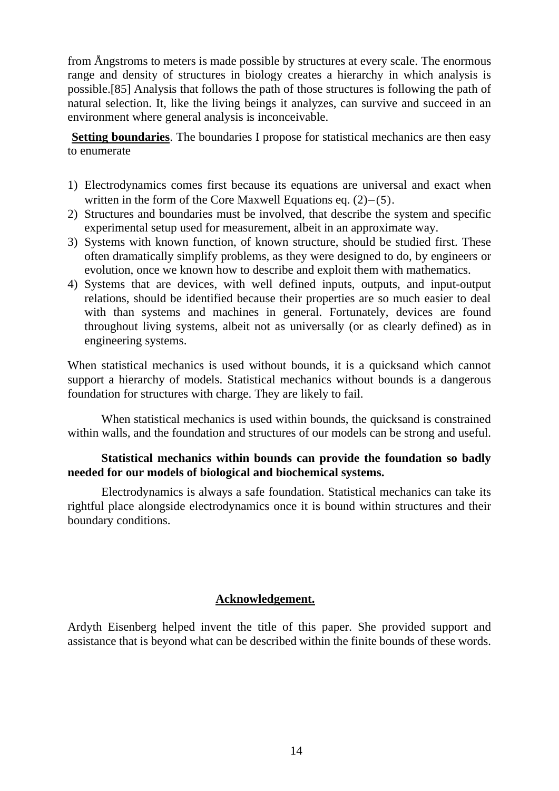from Ångstroms to meters is made possible by structures at every scale. The enormous range and density of structures in biology creates a hierarchy in which analysis is possible.[85] Analysis that follows the path of those structures is following the path of natural selection. It, like the living beings it analyzes, can survive and succeed in an environment where general analysis is inconceivable.

**Setting boundaries**. The boundaries I propose for statistical mechanics are then easy to enumerate

- 1) Electrodynamics comes first because its equations are universal and exact when written in the form of the Core Maxwell Equations eq. (2)−(5).
- 2) Structures and boundaries must be involved, that describe the system and specific experimental setup used for measurement, albeit in an approximate way.
- 3) Systems with known function, of known structure, should be studied first. These often dramatically simplify problems, as they were designed to do, by engineers or evolution, once we known how to describe and exploit them with mathematics.
- 4) Systems that are devices, with well defined inputs, outputs, and input-output relations, should be identified because their properties are so much easier to deal with than systems and machines in general. Fortunately, devices are found throughout living systems, albeit not as universally (or as clearly defined) as in engineering systems.

When statistical mechanics is used without bounds, it is a quicksand which cannot support a hierarchy of models. Statistical mechanics without bounds is a dangerous foundation for structures with charge. They are likely to fail.

When statistical mechanics is used within bounds, the quicksand is constrained within walls, and the foundation and structures of our models can be strong and useful.

## **Statistical mechanics within bounds can provide the foundation so badly needed for our models of biological and biochemical systems.**

Electrodynamics is always a safe foundation. Statistical mechanics can take its rightful place alongside electrodynamics once it is bound within structures and their boundary conditions.

## **Acknowledgement.**

Ardyth Eisenberg helped invent the title of this paper. She provided support and assistance that is beyond what can be described within the finite bounds of these words.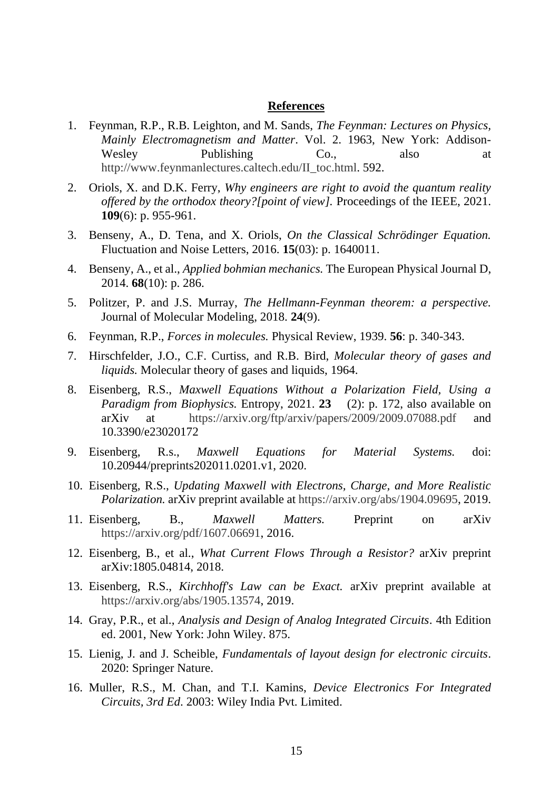#### **References**

- 1. Feynman, R.P., R.B. Leighton, and M. Sands, *The Feynman: Lectures on Physics, Mainly Electromagnetism and Matter*. Vol. 2. 1963, New York: Addison-Wesley Publishing Co., also at [http://www.feynmanlectures.caltech.edu/II\\_toc.html.](http://www.feynmanlectures.caltech.edu/II_toc.html) 592.
- 2. Oriols, X. and D.K. Ferry, *Why engineers are right to avoid the quantum reality offered by the orthodox theory?[point of view].* Proceedings of the IEEE, 2021. **109**(6): p. 955-961.
- 3. Benseny, A., D. Tena, and X. Oriols, *On the Classical Schrödinger Equation.* Fluctuation and Noise Letters, 2016. **15**(03): p. 1640011.
- 4. Benseny, A., et al., *Applied bohmian mechanics.* The European Physical Journal D, 2014. **68**(10): p. 286.
- 5. Politzer, P. and J.S. Murray, *The Hellmann-Feynman theorem: a perspective.* Journal of Molecular Modeling, 2018. **24**(9).
- 6. Feynman, R.P., *Forces in molecules.* Physical Review, 1939. **56**: p. 340-343.
- 7. Hirschfelder, J.O., C.F. Curtiss, and R.B. Bird, *Molecular theory of gases and liquids.* Molecular theory of gases and liquids, 1964.
- 8. Eisenberg, R.S., *Maxwell Equations Without a Polarization Field, Using a Paradigm from Biophysics.* Entropy, 2021. **23** (2): p. 172, also available on arXiv at <https://arxiv.org/ftp/arxiv/papers/2009/2009.07088.pdf> and 10.3390/e23020172
- 9. Eisenberg, R.s., *Maxwell Equations for Material Systems.* doi: 10.20944/preprints202011.0201.v1, 2020.
- 10. Eisenberg, R.S., *Updating Maxwell with Electrons, Charge, and More Realistic Polarization.* arXiv preprint available at [https://arxiv.org/abs/1904.09695,](https://arxiv.org/abs/1904.09695) 2019.
- 11. Eisenberg, B., *Maxwell Matters.* Preprint on arXiv [https://arxiv.org/pdf/1607.06691,](https://arxiv.org/pdf/1607.06691) 2016.
- 12. Eisenberg, B., et al., *What Current Flows Through a Resistor?* arXiv preprint arXiv:1805.04814, 2018.
- 13. Eisenberg, R.S., *Kirchhoff's Law can be Exact.* arXiv preprint available at [https://arxiv.org/abs/1905.13574,](https://arxiv.org/abs/1905.13574) 2019.
- 14. Gray, P.R., et al., *Analysis and Design of Analog Integrated Circuits*. 4th Edition ed. 2001, New York: John Wiley. 875.
- 15. Lienig, J. and J. Scheible, *Fundamentals of layout design for electronic circuits*. 2020: Springer Nature.
- 16. Muller, R.S., M. Chan, and T.I. Kamins, *Device Electronics For Integrated Circuits, 3rd Ed*. 2003: Wiley India Pvt. Limited.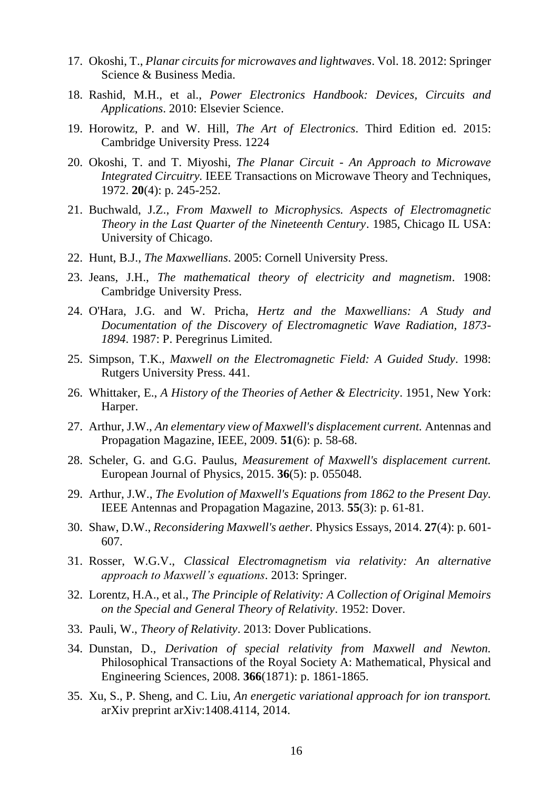- 17. Okoshi, T., *Planar circuits for microwaves and lightwaves*. Vol. 18. 2012: Springer Science & Business Media.
- 18. Rashid, M.H., et al., *Power Electronics Handbook: Devices, Circuits and Applications*. 2010: Elsevier Science.
- 19. Horowitz, P. and W. Hill, *The Art of Electronics*. Third Edition ed. 2015: Cambridge University Press. 1224
- 20. Okoshi, T. and T. Miyoshi, *The Planar Circuit - An Approach to Microwave Integrated Circuitry.* IEEE Transactions on Microwave Theory and Techniques, 1972. **20**(4): p. 245-252.
- 21. Buchwald, J.Z., *From Maxwell to Microphysics. Aspects of Electromagnetic Theory in the Last Quarter of the Nineteenth Century*. 1985, Chicago IL USA: University of Chicago.
- 22. Hunt, B.J., *The Maxwellians*. 2005: Cornell University Press.
- 23. Jeans, J.H., *The mathematical theory of electricity and magnetism*. 1908: Cambridge University Press.
- 24. O'Hara, J.G. and W. Pricha, *Hertz and the Maxwellians: A Study and Documentation of the Discovery of Electromagnetic Wave Radiation, 1873- 1894*. 1987: P. Peregrinus Limited.
- 25. Simpson, T.K., *Maxwell on the Electromagnetic Field: A Guided Study*. 1998: Rutgers University Press. 441.
- 26. Whittaker, E., *A History of the Theories of Aether & Electricity*. 1951, New York: Harper.
- 27. Arthur, J.W., *An elementary view of Maxwell's displacement current.* Antennas and Propagation Magazine, IEEE, 2009. **51**(6): p. 58-68.
- 28. Scheler, G. and G.G. Paulus, *Measurement of Maxwell's displacement current.* European Journal of Physics, 2015. **36**(5): p. 055048.
- 29. Arthur, J.W., *The Evolution of Maxwell's Equations from 1862 to the Present Day.* IEEE Antennas and Propagation Magazine, 2013. **55**(3): p. 61-81.
- 30. Shaw, D.W., *Reconsidering Maxwell's aether.* Physics Essays, 2014. **27**(4): p. 601- 607.
- 31. Rosser, W.G.V., *Classical Electromagnetism via relativity: An alternative approach to Maxwell's equations*. 2013: Springer.
- 32. Lorentz, H.A., et al., *The Principle of Relativity: A Collection of Original Memoirs on the Special and General Theory of Relativity*. 1952: Dover.
- 33. Pauli, W., *Theory of Relativity*. 2013: Dover Publications.
- 34. Dunstan, D., *Derivation of special relativity from Maxwell and Newton.* Philosophical Transactions of the Royal Society A: Mathematical, Physical and Engineering Sciences, 2008. **366**(1871): p. 1861-1865.
- 35. Xu, S., P. Sheng, and C. Liu, *An energetic variational approach for ion transport.* arXiv preprint arXiv:1408.4114, 2014.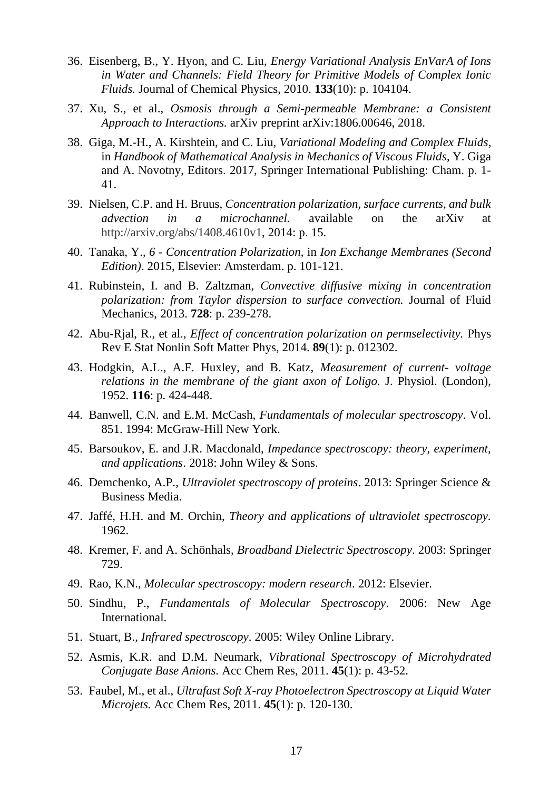- 36. Eisenberg, B., Y. Hyon, and C. Liu, *Energy Variational Analysis EnVarA of Ions in Water and Channels: Field Theory for Primitive Models of Complex Ionic Fluids.* Journal of Chemical Physics, 2010. **133**(10): p. 104104.
- 37. Xu, S., et al., *Osmosis through a Semi-permeable Membrane: a Consistent Approach to Interactions.* arXiv preprint arXiv:1806.00646, 2018.
- 38. Giga, M.-H., A. Kirshtein, and C. Liu, *Variational Modeling and Complex Fluids*, in *Handbook of Mathematical Analysis in Mechanics of Viscous Fluids*, Y. Giga and A. Novotny, Editors. 2017, Springer International Publishing: Cham. p. 1- 41.
- 39. Nielsen, C.P. and H. Bruus, *Concentration polarization, surface currents, and bulk advection in a microchannel.* available on the arXiv at [http://arxiv.org/abs/1408.4610v1,](http://arxiv.org/abs/1408.4610v1) 2014: p. 15.
- 40. Tanaka, Y., *6 - Concentration Polarization*, in *Ion Exchange Membranes (Second Edition)*. 2015, Elsevier: Amsterdam. p. 101-121.
- 41. Rubinstein, I. and B. Zaltzman, *Convective diffusive mixing in concentration polarization: from Taylor dispersion to surface convection.* Journal of Fluid Mechanics, 2013. **728**: p. 239-278.
- 42. Abu-Rjal, R., et al., *Effect of concentration polarization on permselectivity.* Phys Rev E Stat Nonlin Soft Matter Phys, 2014. **89**(1): p. 012302.
- 43. Hodgkin, A.L., A.F. Huxley, and B. Katz, *Measurement of current- voltage relations in the membrane of the giant axon of Loligo.* J. Physiol. (London), 1952. **116**: p. 424-448.
- 44. Banwell, C.N. and E.M. McCash, *Fundamentals of molecular spectroscopy*. Vol. 851. 1994: McGraw-Hill New York.
- 45. Barsoukov, E. and J.R. Macdonald, *Impedance spectroscopy: theory, experiment, and applications*. 2018: John Wiley & Sons.
- 46. Demchenko, A.P., *Ultraviolet spectroscopy of proteins*. 2013: Springer Science & Business Media.
- 47. Jaffé, H.H. and M. Orchin, *Theory and applications of ultraviolet spectroscopy.* 1962.
- 48. Kremer, F. and A. Schönhals, *Broadband Dielectric Spectroscopy*. 2003: Springer 729.
- 49. Rao, K.N., *Molecular spectroscopy: modern research*. 2012: Elsevier.
- 50. Sindhu, P., *Fundamentals of Molecular Spectroscopy*. 2006: New Age International.
- 51. Stuart, B., *Infrared spectroscopy*. 2005: Wiley Online Library.
- 52. Asmis, K.R. and D.M. Neumark, *Vibrational Spectroscopy of Microhydrated Conjugate Base Anions.* Acc Chem Res, 2011. **45**(1): p. 43-52.
- 53. Faubel, M., et al., *Ultrafast Soft X-ray Photoelectron Spectroscopy at Liquid Water Microjets.* Acc Chem Res, 2011. **45**(1): p. 120-130.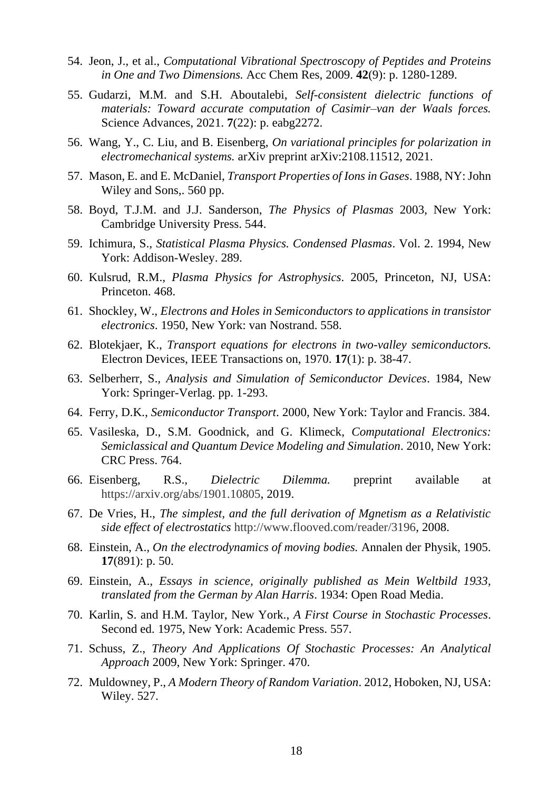- 54. Jeon, J., et al., *Computational Vibrational Spectroscopy of Peptides and Proteins in One and Two Dimensions.* Acc Chem Res, 2009. **42**(9): p. 1280-1289.
- 55. Gudarzi, M.M. and S.H. Aboutalebi, *Self-consistent dielectric functions of materials: Toward accurate computation of Casimir–van der Waals forces.* Science Advances, 2021. **7**(22): p. eabg2272.
- 56. Wang, Y., C. Liu, and B. Eisenberg, *On variational principles for polarization in electromechanical systems.* arXiv preprint arXiv:2108.11512, 2021.
- 57. Mason, E. and E. McDaniel, *Transport Properties of Ions in Gases*. 1988, NY: John Wiley and Sons,. 560 pp.
- 58. Boyd, T.J.M. and J.J. Sanderson, *The Physics of Plasmas* 2003, New York: Cambridge University Press. 544.
- 59. Ichimura, S., *Statistical Plasma Physics. Condensed Plasmas*. Vol. 2. 1994, New York: Addison-Wesley. 289.
- 60. Kulsrud, R.M., *Plasma Physics for Astrophysics*. 2005, Princeton, NJ, USA: Princeton. 468.
- 61. Shockley, W., *Electrons and Holes in Semiconductors to applications in transistor electronics*. 1950, New York: van Nostrand. 558.
- 62. Blotekjaer, K., *Transport equations for electrons in two-valley semiconductors.* Electron Devices, IEEE Transactions on, 1970. **17**(1): p. 38-47.
- 63. Selberherr, S., *Analysis and Simulation of Semiconductor Devices*. 1984, New York: Springer-Verlag. pp. 1-293.
- 64. Ferry, D.K., *Semiconductor Transport*. 2000, New York: Taylor and Francis. 384.
- 65. Vasileska, D., S.M. Goodnick, and G. Klimeck, *Computational Electronics: Semiclassical and Quantum Device Modeling and Simulation*. 2010, New York: CRC Press. 764.
- 66. Eisenberg, R.S., *Dielectric Dilemma.* preprint available at [https://arxiv.org/abs/1901.10805,](https://arxiv.org/abs/1901.10805) 2019.
- 67. De Vries, H., *The simplest, and the full derivation of Mgnetism as a Relativistic side effect of electrostatics* [http://www.flooved.com/reader/3196,](http://www.flooved.com/reader/3196) 2008.
- 68. Einstein, A., *On the electrodynamics of moving bodies.* Annalen der Physik, 1905. **17**(891): p. 50.
- 69. Einstein, A., *Essays in science, originally published as Mein Weltbild 1933, translated from the German by Alan Harris*. 1934: Open Road Media.
- 70. Karlin, S. and H.M. Taylor, New York., *A First Course in Stochastic Processes*. Second ed. 1975, New York: Academic Press. 557.
- 71. Schuss, Z., *Theory And Applications Of Stochastic Processes: An Analytical Approach* 2009, New York: Springer. 470.
- 72. Muldowney, P., *A Modern Theory of Random Variation*. 2012, Hoboken, NJ, USA: Wiley. 527.